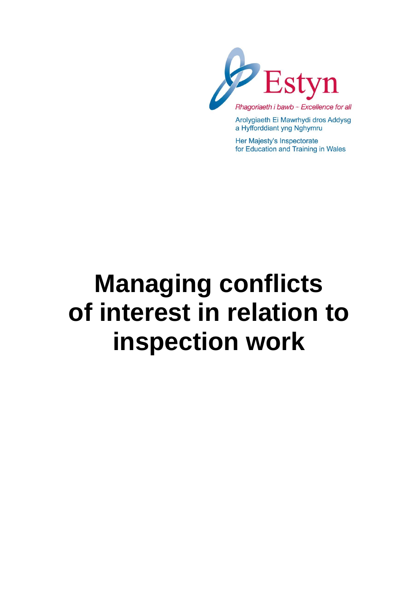

Arolygiaeth Ei Mawrhydi dros Addysg a Hyfforddiant yng Nghymru

Her Majesty's Inspectorate for Education and Training in Wales

# **Managing conflicts of interest in relation to inspection work**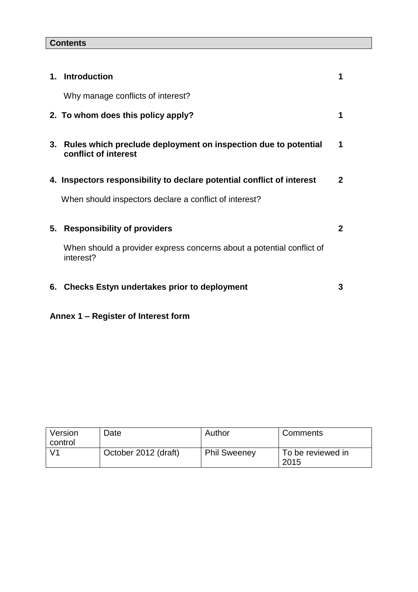### **Contents**

|    | 1. Introduction                                                                        | 1            |
|----|----------------------------------------------------------------------------------------|--------------|
|    | Why manage conflicts of interest?                                                      |              |
|    | 2. To whom does this policy apply?                                                     | 1            |
| 3. | Rules which preclude deployment on inspection due to potential<br>conflict of interest | 1            |
|    | 4. Inspectors responsibility to declare potential conflict of interest                 | $2^{\circ}$  |
|    | When should inspectors declare a conflict of interest?                                 |              |
| 5. | <b>Responsibility of providers</b>                                                     | $\mathbf{2}$ |
|    | When should a provider express concerns about a potential conflict of<br>interest?     |              |
| 6. | <b>Checks Estyn undertakes prior to deployment</b>                                     | 3            |

## **Annex 1 – Register of Interest form**

| Version<br>control | Date                 | Author              | Comments                  |
|--------------------|----------------------|---------------------|---------------------------|
| $\sqrt{1}$         | October 2012 (draft) | <b>Phil Sweeney</b> | To be reviewed in<br>2015 |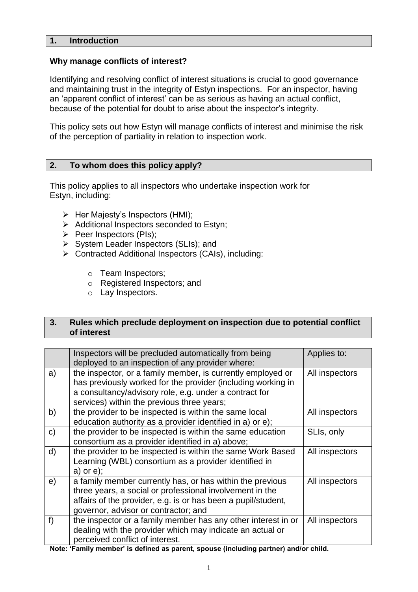#### **1. Introduction**

#### **Why manage conflicts of interest?**

Identifying and resolving conflict of interest situations is crucial to good governance and maintaining trust in the integrity of Estyn inspections. For an inspector, having an 'apparent conflict of interest' can be as serious as having an actual conflict, because of the potential for doubt to arise about the inspector's integrity.

This policy sets out how Estyn will manage conflicts of interest and minimise the risk of the perception of partiality in relation to inspection work.

#### **2. To whom does this policy apply?**

This policy applies to all inspectors who undertake inspection work for Estyn, including:

- $\triangleright$  Her Majesty's Inspectors (HMI);
- $\triangleright$  Additional Inspectors seconded to Estyn;
- $\triangleright$  Peer Inspectors (PIs);
- $\triangleright$  System Leader Inspectors (SLIs); and
- ▶ Contracted Additional Inspectors (CAIs), including:
	- o Team Inspectors;
	- o Registered Inspectors; and
	- o Lay Inspectors.

#### **3. Rules which preclude deployment on inspection due to potential conflict of interest**

|              | Inspectors will be precluded automatically from being<br>deployed to an inspection of any provider where:                                                                                                                           | Applies to:    |
|--------------|-------------------------------------------------------------------------------------------------------------------------------------------------------------------------------------------------------------------------------------|----------------|
| a)           | the inspector, or a family member, is currently employed or<br>has previously worked for the provider (including working in<br>a consultancy/advisory role, e.g. under a contract for<br>services) within the previous three years; | All inspectors |
| b)           | the provider to be inspected is within the same local<br>education authority as a provider identified in a) or e);                                                                                                                  | All inspectors |
| $\mathsf{C}$ | the provider to be inspected is within the same education<br>consortium as a provider identified in a) above;                                                                                                                       | SLIs, only     |
| d)           | the provider to be inspected is within the same Work Based<br>Learning (WBL) consortium as a provider identified in<br>$a)$ or $e)$ ;                                                                                               | All inspectors |
| e)           | a family member currently has, or has within the previous<br>three years, a social or professional involvement in the<br>affairs of the provider, e.g. is or has been a pupil/student,<br>governor, advisor or contractor; and      | All inspectors |
| f)           | the inspector or a family member has any other interest in or<br>dealing with the provider which may indicate an actual or<br>perceived conflict of interest.                                                                       | All inspectors |

**Note: 'Family member' is defined as parent, spouse (including partner) and/or child.**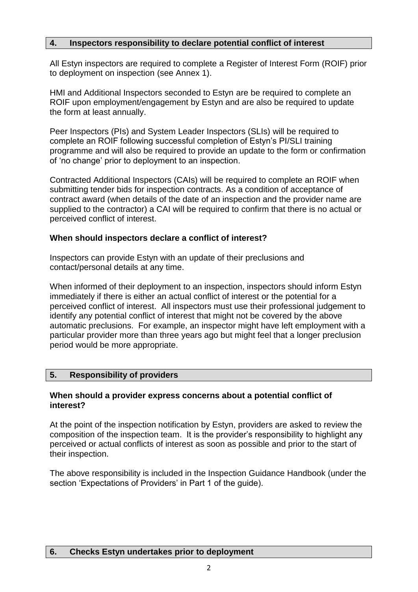#### **4. Inspectors responsibility to declare potential conflict of interest**

All Estyn inspectors are required to complete a Register of Interest Form (ROIF) prior to deployment on inspection (see Annex 1).

HMI and Additional Inspectors seconded to Estyn are be required to complete an ROIF upon employment/engagement by Estyn and are also be required to update the form at least annually.

Peer Inspectors (PIs) and System Leader Inspectors (SLIs) will be required to complete an ROIF following successful completion of Estyn's PI/SLI training programme and will also be required to provide an update to the form or confirmation of 'no change' prior to deployment to an inspection.

Contracted Additional Inspectors (CAIs) will be required to complete an ROIF when submitting tender bids for inspection contracts. As a condition of acceptance of contract award (when details of the date of an inspection and the provider name are supplied to the contractor) a CAI will be required to confirm that there is no actual or perceived conflict of interest.

#### **When should inspectors declare a conflict of interest?**

Inspectors can provide Estyn with an update of their preclusions and contact/personal details at any time.

When informed of their deployment to an inspection, inspectors should inform Estyn immediately if there is either an actual conflict of interest or the potential for a perceived conflict of interest. All inspectors must use their professional judgement to identify any potential conflict of interest that might not be covered by the above automatic preclusions. For example, an inspector might have left employment with a particular provider more than three years ago but might feel that a longer preclusion period would be more appropriate.

#### **5. Responsibility of providers**

#### **When should a provider express concerns about a potential conflict of interest?**

At the point of the inspection notification by Estyn, providers are asked to review the composition of the inspection team. It is the provider's responsibility to highlight any perceived or actual conflicts of interest as soon as possible and prior to the start of their inspection.

The above responsibility is included in the Inspection Guidance Handbook (under the section 'Expectations of Providers' in Part 1 of the guide).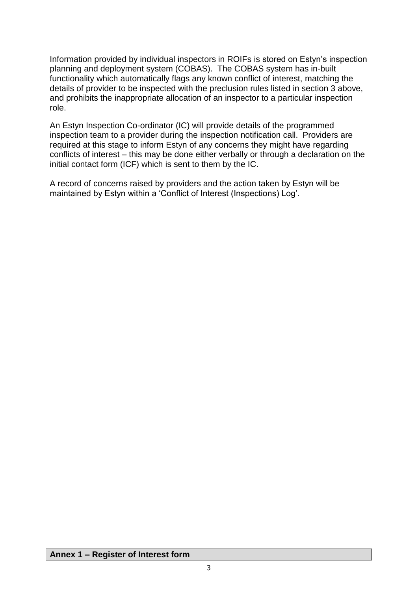Information provided by individual inspectors in ROIFs is stored on Estyn's inspection planning and deployment system (COBAS). The COBAS system has in-built functionality which automatically flags any known conflict of interest, matching the details of provider to be inspected with the preclusion rules listed in section 3 above, and prohibits the inappropriate allocation of an inspector to a particular inspection role.

An Estyn Inspection Co-ordinator (IC) will provide details of the programmed inspection team to a provider during the inspection notification call. Providers are required at this stage to inform Estyn of any concerns they might have regarding conflicts of interest – this may be done either verbally or through a declaration on the initial contact form (ICF) which is sent to them by the IC.

A record of concerns raised by providers and the action taken by Estyn will be maintained by Estyn within a 'Conflict of Interest (Inspections) Log'.